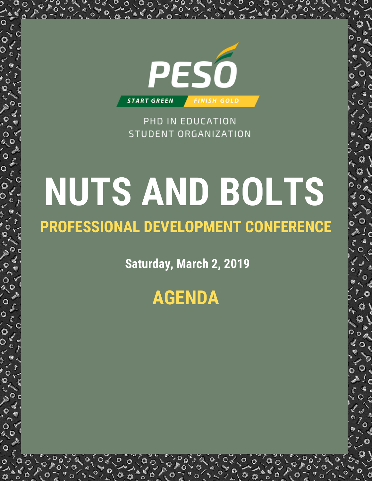

PHD IN EDUCATION STUDENT ORGANIZATION

# **NUTS AND BOLTS**

## **PROFESSIONAL DEVELOPMENT CONFERENCE**

**Saturday, March 2, 2019**

**AGENDA**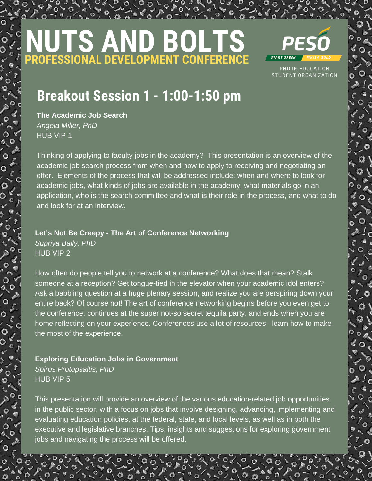# **NUTS AND BOLTS PROFESSIONAL DEVELOPMENT CONFERENCE**



PHD IN EDUCATION STUDENT ORGANIZATION

## **Breakout Session 1 - 1:00-1:50 pm**

**The Academic Job Search** *Angela Miller, PhD* HUB VIP 1

Thinking of applying to faculty jobs in the academy? This presentation is an overview of the academic job search process from when and how to apply to receiving and negotiating an offer. Elements of the process that will be addressed include: when and where to look for academic jobs, what kinds of jobs are available in the academy, what materials go in an application, who is the search committee and what is their role in the process, and what to do and look for at an interview.

**Let's Not Be Creepy - The Art of Conference Networking**

*Supriya Baily, PhD* HUB VIP 2

How often do people tell you to network at a conference? What does that mean? Stalk someone at a reception? Get tongue-tied in the elevator when your academic idol enters? Ask a babbling question at a huge plenary session, and realize you are perspiring down your entire back? Of course not! The art of conference networking begins before you even get to the conference, continues at the super not-so secret tequila party, and ends when you are home reflecting on your experience. Conferences use a lot of resources –learn how to make the most of the experience.

**Exploring Education Jobs in Government** *Spiros Protopsaltis, PhD* HUB VIP 5

This presentation will provide an overview of the various education-related job opportunities in the public sector, with a focus on jobs that involve designing, advancing, implementing and evaluating education policies, at the federal, state, and local levels, as well as in both the executive and legislative branches. Tips, insights and suggestions for exploring government jobs and navigating the process will be offered.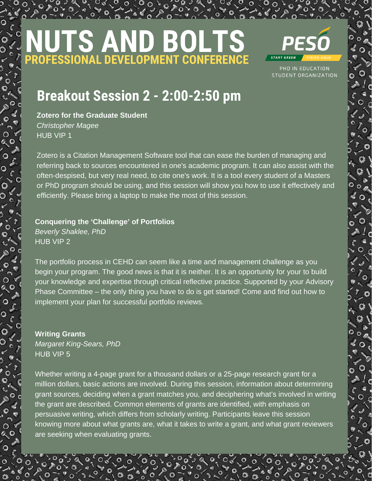# **NUTS AND BOLTS PROFESSIONAL DEVELOPMENT CONFERENCE**



PHD IN EDUCATION STUDENT ORGANIZATION

## **Breakout Session 2 - 2:00-2:50 pm**

**Zotero for the Graduate Student** *Christopher Magee* HUB VIP 1

Zotero is a Citation Management Software tool that can ease the burden of managing and referring back to sources encountered in one's academic program. It can also assist with the often-despised, but very real need, to cite one's work. It is a tool every student of a Masters or PhD program should be using, and this session will show you how to use it effectively and efficiently. Please bring a laptop to make the most of this session.

#### **Conquering the 'Challenge' of Portfolios**

*Beverly Shaklee, PhD* HUB VIP 2

The portfolio process in CEHD can seem like a time and management challenge as you begin your program. The good news is that it is neither. It is an opportunity for your to build your knowledge and expertise through critical reflective practice. Supported by your Advisory Phase Committee – the only thing you have to do is get started! Come and find out how to implement your plan for successful portfolio reviews.

### **Writing Grants**

*Margaret King-Sears, PhD* HUB VIP 5

Whether writing a 4-page grant for a thousand dollars or a 25-page research grant for a million dollars, basic actions are involved. During this session, information about determining grant sources, deciding when a grant matches you, and deciphering what's involved in writing the grant are described. Common elements of grants are identified, with emphasis on persuasive writing, which differs from scholarly writing. Participants leave this session knowing more about what grants are, what it takes to write a grant, and what grant reviewers are seeking when evaluating grants.